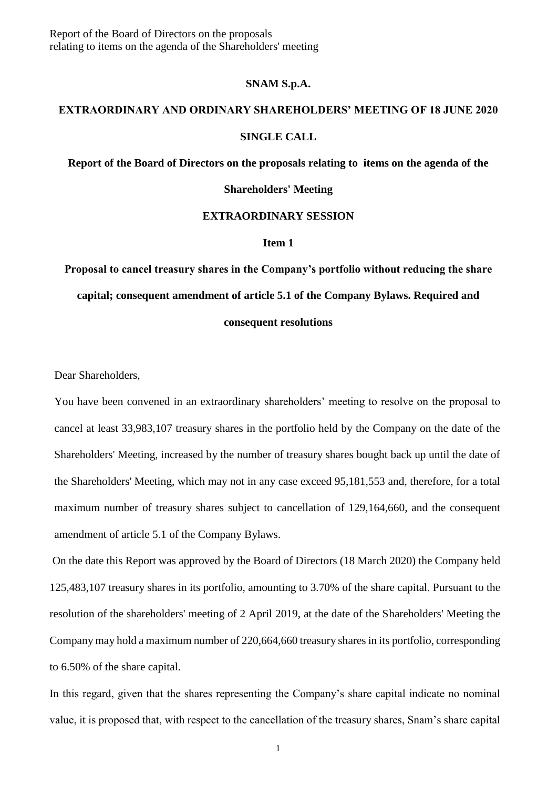Report of the Board of Directors on the proposals relating to items on the agenda of the Shareholders' meeting

## **SNAM S.p.A.**

# **EXTRAORDINARY AND ORDINARY SHAREHOLDERS' MEETING OF 18 JUNE 2020 SINGLE CALL**

**Report of the Board of Directors on the proposals relating to items on the agenda of the** 

#### **Shareholders' Meeting**

# **EXTRAORDINARY SESSION**

### **Item 1**

**Proposal to cancel treasury shares in the Company's portfolio without reducing the share capital; consequent amendment of article 5.1 of the Company Bylaws. Required and** 

## **consequent resolutions**

Dear Shareholders,

You have been convened in an extraordinary shareholders' meeting to resolve on the proposal to cancel at least 33,983,107 treasury shares in the portfolio held by the Company on the date of the Shareholders' Meeting, increased by the number of treasury shares bought back up until the date of the Shareholders' Meeting, which may not in any case exceed 95,181,553 and, therefore, for a total maximum number of treasury shares subject to cancellation of 129,164,660, and the consequent amendment of article 5.1 of the Company Bylaws.

On the date this Report was approved by the Board of Directors (18 March 2020) the Company held 125,483,107 treasury shares in its portfolio, amounting to 3.70% of the share capital. Pursuant to the resolution of the shareholders' meeting of 2 April 2019, at the date of the Shareholders' Meeting the Company may hold a maximum number of 220,664,660 treasury shares in its portfolio, corresponding to 6.50% of the share capital.

In this regard, given that the shares representing the Company's share capital indicate no nominal value, it is proposed that, with respect to the cancellation of the treasury shares, Snam's share capital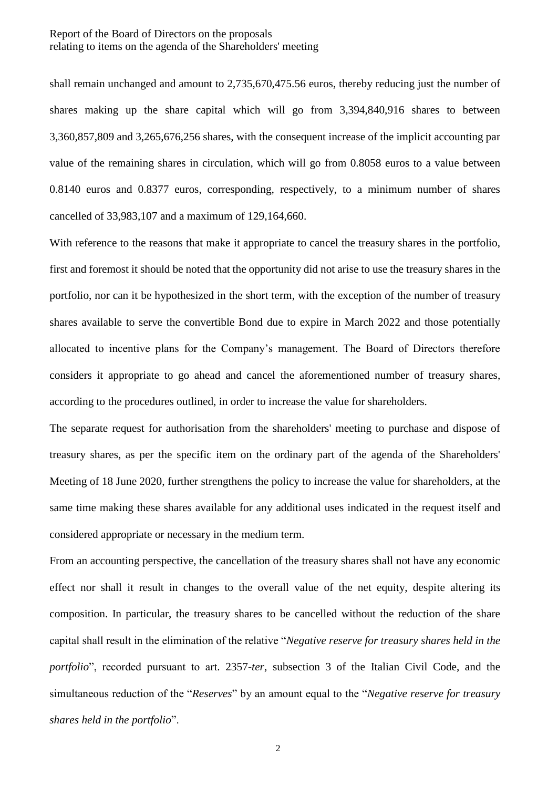shall remain unchanged and amount to 2,735,670,475.56 euros, thereby reducing just the number of shares making up the share capital which will go from 3,394,840,916 shares to between 3,360,857,809 and 3,265,676,256 shares, with the consequent increase of the implicit accounting par value of the remaining shares in circulation, which will go from 0.8058 euros to a value between 0.8140 euros and 0.8377 euros, corresponding, respectively, to a minimum number of shares cancelled of 33,983,107 and a maximum of 129,164,660.

With reference to the reasons that make it appropriate to cancel the treasury shares in the portfolio, first and foremost it should be noted that the opportunity did not arise to use the treasury shares in the portfolio, nor can it be hypothesized in the short term, with the exception of the number of treasury shares available to serve the convertible Bond due to expire in March 2022 and those potentially allocated to incentive plans for the Company's management. The Board of Directors therefore considers it appropriate to go ahead and cancel the aforementioned number of treasury shares, according to the procedures outlined, in order to increase the value for shareholders.

The separate request for authorisation from the shareholders' meeting to purchase and dispose of treasury shares, as per the specific item on the ordinary part of the agenda of the Shareholders' Meeting of 18 June 2020, further strengthens the policy to increase the value for shareholders, at the same time making these shares available for any additional uses indicated in the request itself and considered appropriate or necessary in the medium term.

From an accounting perspective, the cancellation of the treasury shares shall not have any economic effect nor shall it result in changes to the overall value of the net equity, despite altering its composition. In particular, the treasury shares to be cancelled without the reduction of the share capital shall result in the elimination of the relative "*Negative reserve for treasury shares held in the portfolio*", recorded pursuant to art. 2357-*ter*, subsection 3 of the Italian Civil Code, and the simultaneous reduction of the "*Reserves*" by an amount equal to the "*Negative reserve for treasury shares held in the portfolio*".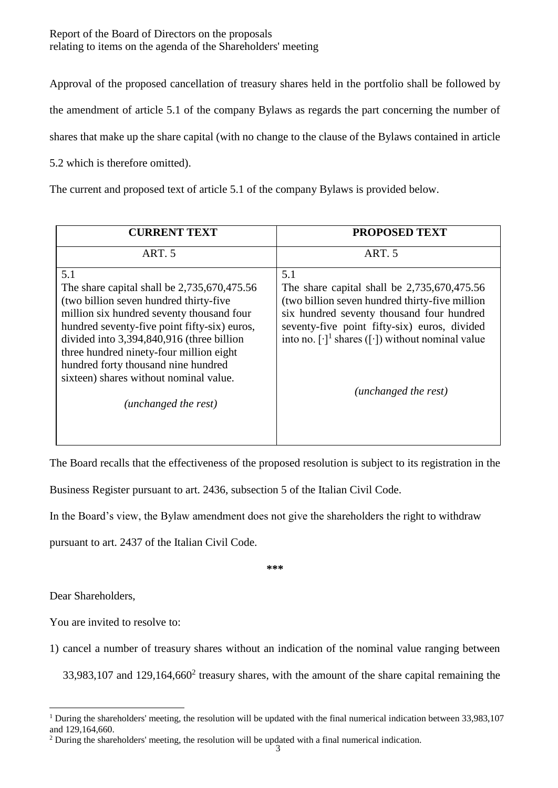Report of the Board of Directors on the proposals relating to items on the agenda of the Shareholders' meeting

Approval of the proposed cancellation of treasury shares held in the portfolio shall be followed by

the amendment of article 5.1 of the company Bylaws as regards the part concerning the number of

shares that make up the share capital (with no change to the clause of the Bylaws contained in article

5.2 which is therefore omitted).

The current and proposed text of article 5.1 of the company Bylaws is provided below.

| <b>CURRENT TEXT</b>                                                                                                                                                                                                                                                                                                                                                                         | <b>PROPOSED TEXT</b>                                                                                                                                                                                                                                                                              |
|---------------------------------------------------------------------------------------------------------------------------------------------------------------------------------------------------------------------------------------------------------------------------------------------------------------------------------------------------------------------------------------------|---------------------------------------------------------------------------------------------------------------------------------------------------------------------------------------------------------------------------------------------------------------------------------------------------|
| ART <sub>5</sub>                                                                                                                                                                                                                                                                                                                                                                            | ART. 5                                                                                                                                                                                                                                                                                            |
| 5.1<br>The share capital shall be 2,735,670,475.56<br>(two billion seven hundred thirty-five)<br>million six hundred seventy thousand four<br>hundred seventy-five point fifty-six) euros,<br>divided into 3,394,840,916 (three billion<br>three hundred ninety-four million eight<br>hundred forty thousand nine hundred<br>sixteen) shares without nominal value.<br>(unchanged the rest) | 5.1<br>The share capital shall be $2,735,670,475.56$<br>(two billion seven hundred thirty-five million<br>six hundred seventy thousand four hundred<br>seventy-five point fifty-six) euros, divided<br>into no. $[\cdot]$ <sup>1</sup> shares ([·]) without nominal value<br>(unchanged the rest) |

The Board recalls that the effectiveness of the proposed resolution is subject to its registration in the

Business Register pursuant to art. 2436, subsection 5 of the Italian Civil Code.

In the Board's view, the Bylaw amendment does not give the shareholders the right to withdraw

pursuant to art. 2437 of the Italian Civil Code.

**\*\*\***

Dear Shareholders,

You are invited to resolve to:

1) cancel a number of treasury shares without an indication of the nominal value ranging between

 $33,983,107$  and  $129,164,660<sup>2</sup>$  treasury shares, with the amount of the share capital remaining the

 $\overline{a}$ <sup>1</sup> During the shareholders' meeting, the resolution will be updated with the final numerical indication between  $33,983,107$ and 129,164,660.

 $2$  During the shareholders' meeting, the resolution will be updated with a final numerical indication.